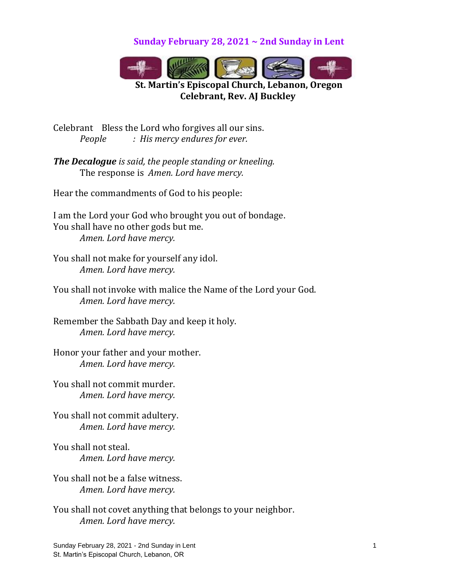**Sunday February 28, 2021 ~ 2nd Sunday in Lent**



**St. Martin's Episcopal Church, Lebanon, Oregon Celebrant, Rev. AJ Buckley**

Celebrant Bless the Lord who forgives all our sins. *People : His mercy endures for ever.*

*The Decalogue is said, the people standing or kneeling.* The response is *Amen. Lord have mercy.*

Hear the commandments of God to his people:

I am the Lord your God who brought you out of bondage. You shall have no other gods but me. *Amen. Lord have mercy.*

You shall not make for yourself any idol. *Amen. Lord have mercy.*

You shall not invoke with malice the Name of the Lord your God. *Amen. Lord have mercy.*

Remember the Sabbath Day and keep it holy. *Amen. Lord have mercy.*

Honor your father and your mother. *Amen. Lord have mercy.*

You shall not commit murder. *Amen. Lord have mercy.*

You shall not commit adultery. *Amen. Lord have mercy.*

You shall not steal. *Amen. Lord have mercy.*

You shall not be a false witness. *Amen. Lord have mercy.*

You shall not covet anything that belongs to your neighbor. *Amen. Lord have mercy.*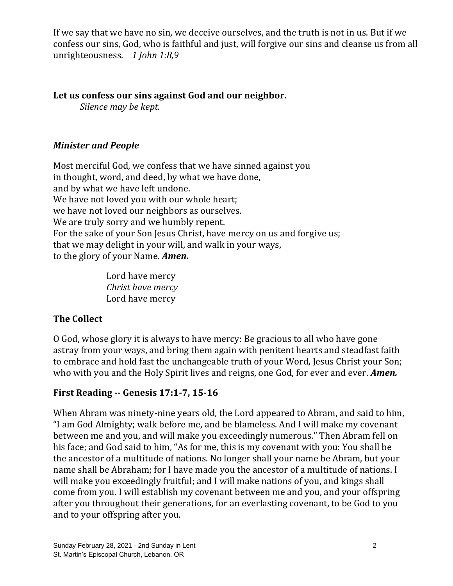If we say that we have no sin, we deceive ourselves, and the truth is not in us. But if we confess our sins, God, who is faithful and just, will forgive our sins and cleanse us from all unrighteousness. *1 John 1:8,9*

#### **Let us confess our sins against God and our neighbor.**

*Silence may be kept.*

# *Minister and People*

Most merciful God, we confess that we have sinned against you in thought, word, and deed, by what we have done, and by what we have left undone. We have not loved you with our whole heart; we have not loved our neighbors as ourselves. We are truly sorry and we humbly repent. For the sake of your Son Jesus Christ, have mercy on us and forgive us; that we may delight in your will, and walk in your ways, to the glory of your Name. *Amen.*

> Lord have mercy *Christ have mercy* Lord have mercy

# **The Collect**

O God, whose glory it is always to have mercy: Be gracious to all who have gone astray from your ways, and bring them again with penitent hearts and steadfast faith to embrace and hold fast the unchangeable truth of your Word, Jesus Christ your Son; who with you and the Holy Spirit lives and reigns, one God, for ever and ever. *Amen.*

# **First Reading -- Genesis 17:1-7, 15-16**

When Abram was ninety-nine years old, the Lord appeared to Abram, and said to him, "I am God Almighty; walk before me, and be blameless. And I will make my covenant between me and you, and will make you exceedingly numerous." Then Abram fell on his face; and God said to him, "As for me, this is my covenant with you: You shall be the ancestor of a multitude of nations. No longer shall your name be Abram, but your name shall be Abraham; for I have made you the ancestor of a multitude of nations. I will make you exceedingly fruitful; and I will make nations of you, and kings shall come from you. I will establish my covenant between me and you, and your offspring after you throughout their generations, for an everlasting covenant, to be God to you and to your offspring after you.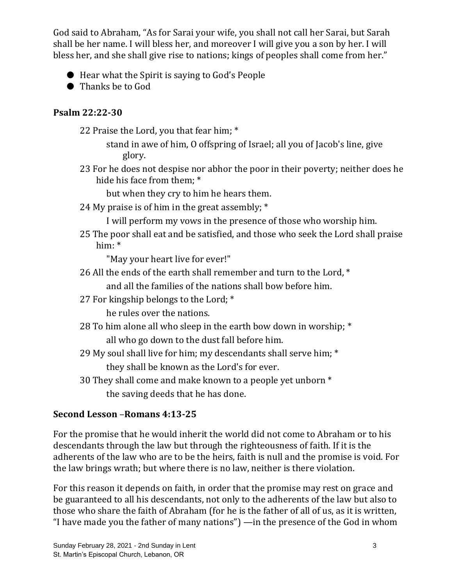God said to Abraham, "As for Sarai your wife, you shall not call her Sarai, but Sarah shall be her name. I will bless her, and moreover I will give you a son by her. I will bless her, and she shall give rise to nations; kings of peoples shall come from her."

- Hear what the Spirit is saying to God's People
- Thanks be to God

# **Psalm 22:22-30**

- 22 Praise the Lord, you that fear him; \*
	- stand in awe of him, O offspring of Israel; all you of Jacob's line, give glory.
- 23 For he does not despise nor abhor the poor in their poverty; neither does he hide his face from them; \*

but when they cry to him he hears them.

24 My praise is of him in the great assembly;  $*$ 

I will perform my vows in the presence of those who worship him.

25 The poor shall eat and be satisfied, and those who seek the Lord shall praise him: \*

"May your heart live for ever!"

26 All the ends of the earth shall remember and turn to the Lord, \*

and all the families of the nations shall bow before him.

27 For kingship belongs to the Lord; \*

he rules over the nations.

- 28 To him alone all who sleep in the earth bow down in worship; \* all who go down to the dust fall before him.
- 29 My soul shall live for him; my descendants shall serve him; \* they shall be known as the Lord's for ever.
- 30 They shall come and make known to a people yet unborn \* the saving deeds that he has done.

# **Second Lesson** –**Romans 4:13-25**

For the promise that he would inherit the world did not come to Abraham or to his descendants through the law but through the righteousness of faith. If it is the adherents of the law who are to be the heirs, faith is null and the promise is void. For the law brings wrath; but where there is no law, neither is there violation.

For this reason it depends on faith, in order that the promise may rest on grace and be guaranteed to all his descendants, not only to the adherents of the law but also to those who share the faith of Abraham (for he is the father of all of us, as it is written, "I have made you the father of many nations") —in the presence of the God in whom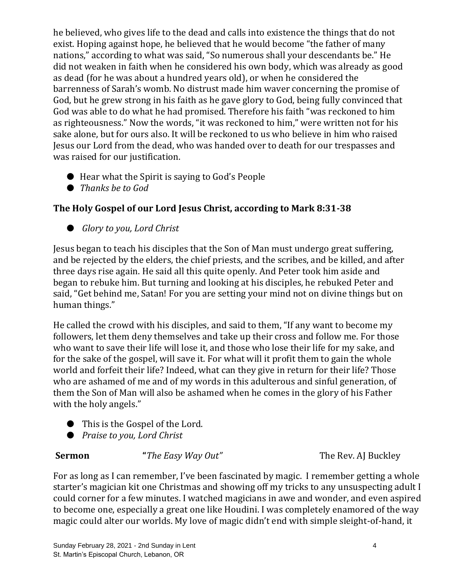he believed, who gives life to the dead and calls into existence the things that do not exist. Hoping against hope, he believed that he would become "the father of many nations," according to what was said, "So numerous shall your descendants be." He did not weaken in faith when he considered his own body, which was already as good as dead (for he was about a hundred years old), or when he considered the barrenness of Sarah's womb. No distrust made him waver concerning the promise of God, but he grew strong in his faith as he gave glory to God, being fully convinced that God was able to do what he had promised. Therefore his faith "was reckoned to him as righteousness." Now the words, "it was reckoned to him," were written not for his sake alone, but for ours also. It will be reckoned to us who believe in him who raised Jesus our Lord from the dead, who was handed over to death for our trespasses and was raised for our justification.

- Hear what the Spirit is saying to God's People
- *Thanks be to God*

# **The Holy Gospel of our Lord Jesus Christ, according to Mark 8:31-38**

● *Glory to you, Lord Christ* 

Jesus began to teach his disciples that the Son of Man must undergo great suffering, and be rejected by the elders, the chief priests, and the scribes, and be killed, and after three days rise again. He said all this quite openly. And Peter took him aside and began to rebuke him. But turning and looking at his disciples, he rebuked Peter and said, "Get behind me, Satan! For you are setting your mind not on divine things but on human things."

He called the crowd with his disciples, and said to them, "If any want to become my followers, let them deny themselves and take up their cross and follow me. For those who want to save their life will lose it, and those who lose their life for my sake, and for the sake of the gospel, will save it. For what will it profit them to gain the whole world and forfeit their life? Indeed, what can they give in return for their life? Those who are ashamed of me and of my words in this adulterous and sinful generation, of them the Son of Man will also be ashamed when he comes in the glory of his Father with the holy angels."

- This is the Gospel of the Lord.
- *Praise to you, Lord Christ*

**Sermon** "*The Easy Way Out*" The Rev. AJ Buckley

For as long as I can remember, I've been fascinated by magic. I remember getting a whole starter's magician kit one Christmas and showing off my tricks to any unsuspecting adult I could corner for a few minutes. I watched magicians in awe and wonder, and even aspired to become one, especially a great one like Houdini. I was completely enamored of the way magic could alter our worlds. My love of magic didn't end with simple sleight-of-hand, it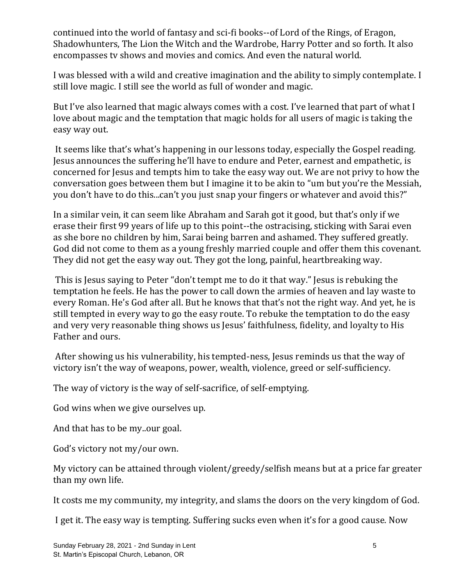continued into the world of fantasy and sci-fi books--of Lord of the Rings, of Eragon, Shadowhunters, The Lion the Witch and the Wardrobe, Harry Potter and so forth. It also encompasses tv shows and movies and comics. And even the natural world.

I was blessed with a wild and creative imagination and the ability to simply contemplate. I still love magic. I still see the world as full of wonder and magic.

But I've also learned that magic always comes with a cost. I've learned that part of what I love about magic and the temptation that magic holds for all users of magic is taking the easy way out.

It seems like that's what's happening in our lessons today, especially the Gospel reading. Jesus announces the suffering he'll have to endure and Peter, earnest and empathetic, is concerned for Jesus and tempts him to take the easy way out. We are not privy to how the conversation goes between them but I imagine it to be akin to "um but you're the Messiah, you don't have to do this...can't you just snap your fingers or whatever and avoid this?"

In a similar vein, it can seem like Abraham and Sarah got it good, but that's only if we erase their first 99 years of life up to this point--the ostracising, sticking with Sarai even as she bore no children by him, Sarai being barren and ashamed. They suffered greatly. God did not come to them as a young freshly married couple and offer them this covenant. They did not get the easy way out. They got the long, painful, heartbreaking way.

This is Jesus saying to Peter "don't tempt me to do it that way." Jesus is rebuking the temptation he feels. He has the power to call down the armies of heaven and lay waste to every Roman. He's God after all. But he knows that that's not the right way. And yet, he is still tempted in every way to go the easy route. To rebuke the temptation to do the easy and very very reasonable thing shows us Jesus' faithfulness, fidelity, and loyalty to His Father and ours.

After showing us his vulnerability, his tempted-ness, Jesus reminds us that the way of victory isn't the way of weapons, power, wealth, violence, greed or self-sufficiency.

The way of victory is the way of self-sacrifice, of self-emptying.

God wins when we give ourselves up.

And that has to be my..our goal.

God's victory not my/our own.

My victory can be attained through violent/greedy/selfish means but at a price far greater than my own life.

It costs me my community, my integrity, and slams the doors on the very kingdom of God.

I get it. The easy way is tempting. Suffering sucks even when it's for a good cause. Now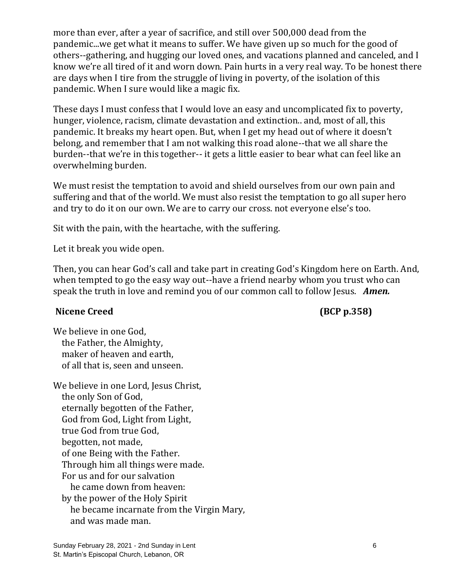more than ever, after a year of sacrifice, and still over 500,000 dead from the pandemic...we get what it means to suffer. We have given up so much for the good of others--gathering, and hugging our loved ones, and vacations planned and canceled, and I know we're all tired of it and worn down. Pain hurts in a very real way. To be honest there are days when I tire from the struggle of living in poverty, of the isolation of this pandemic. When I sure would like a magic fix.

These days I must confess that I would love an easy and uncomplicated fix to poverty, hunger, violence, racism, climate devastation and extinction.. and, most of all, this pandemic. It breaks my heart open. But, when I get my head out of where it doesn't belong, and remember that I am not walking this road alone--that we all share the burden--that we're in this together-- it gets a little easier to bear what can feel like an overwhelming burden.

We must resist the temptation to avoid and shield ourselves from our own pain and suffering and that of the world. We must also resist the temptation to go all super hero and try to do it on our own. We are to carry our cross. not everyone else's too.

Sit with the pain, with the heartache, with the suffering.

Let it break you wide open.

Then, you can hear God's call and take part in creating God's Kingdom here on Earth. And, when tempted to go the easy way out--have a friend nearby whom you trust who can speak the truth in love and remind you of our common call to follow Jesus. *Amen.* 

### Nicene Creed **(BCP p.358)**

We believe in one God, the Father, the Almighty, maker of heaven and earth, of all that is, seen and unseen.

We believe in one Lord, Jesus Christ, the only Son of God, eternally begotten of the Father, God from God, Light from Light, true God from true God, begotten, not made, of one Being with the Father. Through him all things were made. For us and for our salvation he came down from heaven: by the power of the Holy Spirit he became incarnate from the Virgin Mary, and was made man.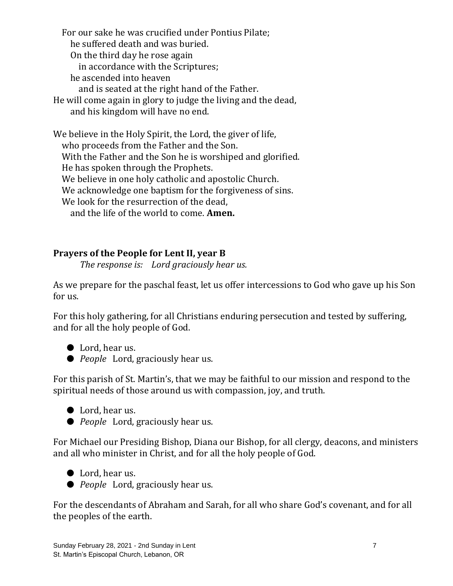For our sake he was crucified under Pontius Pilate; he suffered death and was buried. On the third day he rose again in accordance with the Scriptures; he ascended into heaven and is seated at the right hand of the Father. He will come again in glory to judge the living and the dead, and his kingdom will have no end.

We believe in the Holy Spirit, the Lord, the giver of life, who proceeds from the Father and the Son. With the Father and the Son he is worshiped and glorified. He has spoken through the Prophets. We believe in one holy catholic and apostolic Church. We acknowledge one baptism for the forgiveness of sins. We look for the resurrection of the dead. and the life of the world to come. **Amen.**

# **Prayers of the People for Lent II, year B**

*The response is: Lord graciously hear us.*

As we prepare for the paschal feast, let us offer intercessions to God who gave up his Son for us.

For this holy gathering, for all Christians enduring persecution and tested by suffering, and for all the holy people of God.

- Lord, hear us.
- *People* Lord, graciously hear us.

For this parish of St. Martin's, that we may be faithful to our mission and respond to the spiritual needs of those around us with compassion, joy, and truth.

- Lord, hear us.
- *People* Lord, graciously hear us.

For Michael our Presiding Bishop, Diana our Bishop, for all clergy, deacons, and ministers and all who minister in Christ, and for all the holy people of God.

- Lord, hear us.
- *People* Lord, graciously hear us.

For the descendants of Abraham and Sarah, for all who share God's covenant, and for all the peoples of the earth.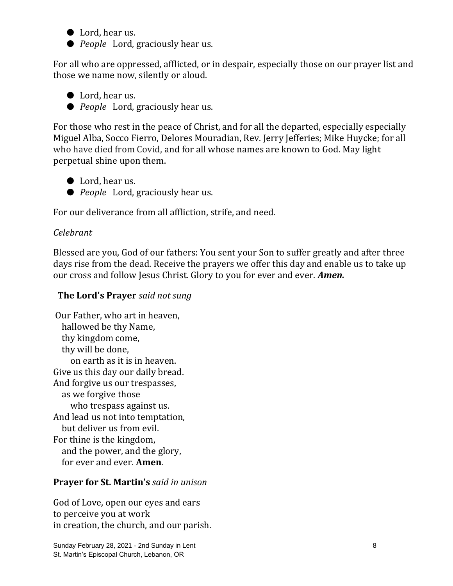- Lord, hear us.
- *People* Lord, graciously hear us.

For all who are oppressed, afflicted, or in despair, especially those on our prayer list and those we name now, silently or aloud.

- Lord, hear us.
- *People* Lord, graciously hear us.

For those who rest in the peace of Christ, and for all the departed, especially especially Miguel Alba, Socco Fierro, Delores Mouradian, Rev. Jerry Jefferies; Mike Huycke; for all who have died from Covid, and for all whose names are known to God. May light perpetual shine upon them.

- Lord, hear us.
- *People* Lord, graciously hear us.

For our deliverance from all affliction, strife, and need.

### *Celebrant*

Blessed are you, God of our fathers: You sent your Son to suffer greatly and after three days rise from the dead. Receive the prayers we offer this day and enable us to take up our cross and follow Jesus Christ. Glory to you for ever and ever. *Amen.*

#### **The Lord's Prayer** *said not sung*

Our Father, who art in heaven, hallowed be thy Name, thy kingdom come, thy will be done, on earth as it is in heaven. Give us this day our daily bread. And forgive us our trespasses, as we forgive those who trespass against us. And lead us not into temptation, but deliver us from evil. For thine is the kingdom, and the power, and the glory, for ever and ever. **Amen**.

### **Prayer for St. Martin's** *said in unison*

God of Love, open our eyes and ears to perceive you at work in creation, the church, and our parish.